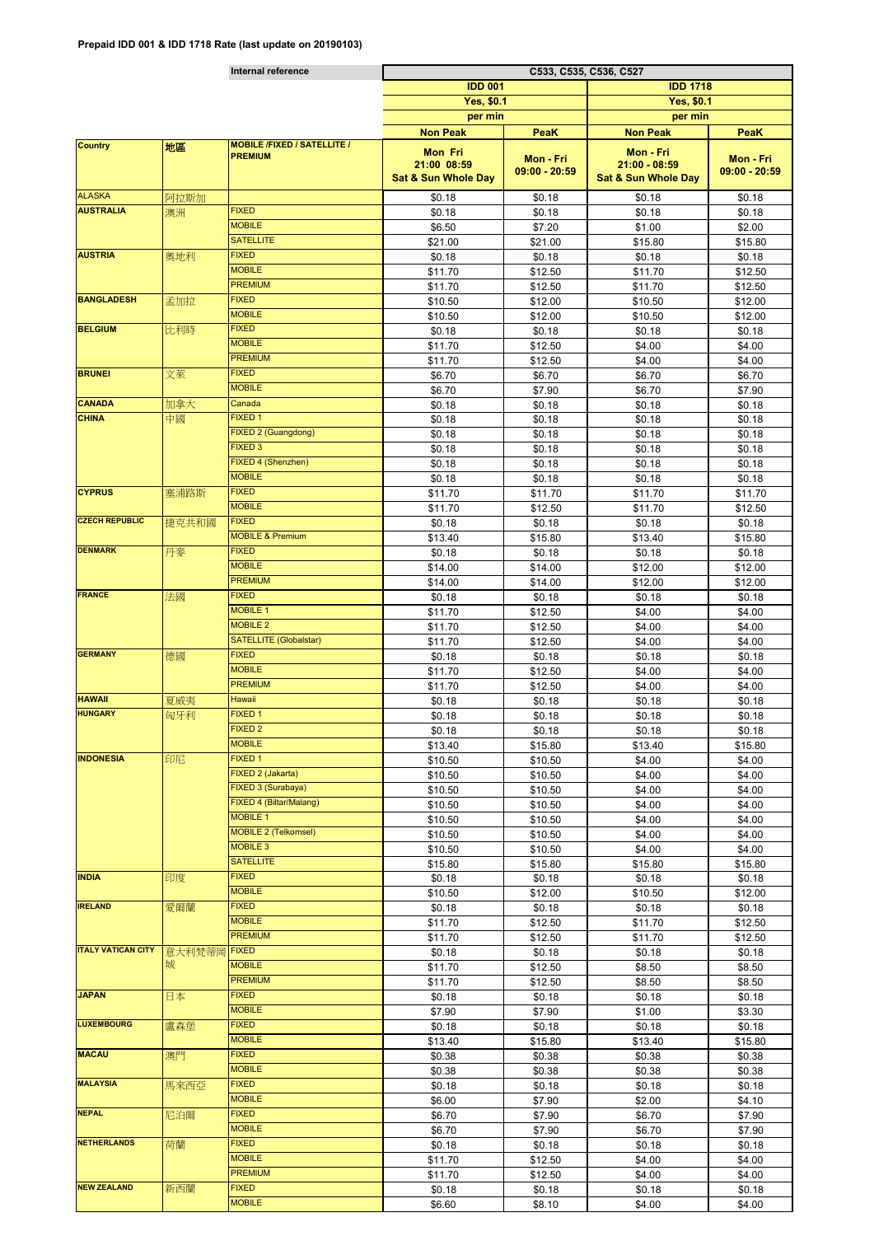|                           |        | Internal reference                                   | C533, C535, C536, C527         |                 |                                |                 |  |
|---------------------------|--------|------------------------------------------------------|--------------------------------|-----------------|--------------------------------|-----------------|--|
|                           |        |                                                      | <b>IDD 001</b>                 |                 | <b>IDD 1718</b>                |                 |  |
|                           |        |                                                      | Yes, \$0.1                     |                 | <b>Yes, \$0.1</b>              |                 |  |
|                           |        |                                                      | per min                        |                 | per min                        |                 |  |
|                           |        |                                                      |                                |                 |                                |                 |  |
|                           |        |                                                      | <b>Non Peak</b>                | <b>PeaK</b>     | <b>Non Peak</b>                | PeaK            |  |
| <b>Country</b>            | 地區     | <b>MOBILE /FIXED / SATELLITE /</b><br><b>PREMIUM</b> | Mon Fri                        |                 | Mon - Fri                      |                 |  |
|                           |        |                                                      | 21:00 08:59                    | Mon - Fri       | $21:00 - 08:59$                | Mon - Fri       |  |
|                           |        |                                                      | <b>Sat &amp; Sun Whole Day</b> | $09:00 - 20:59$ | <b>Sat &amp; Sun Whole Day</b> | $09:00 - 20:59$ |  |
| <b>ALASKA</b>             |        |                                                      |                                |                 |                                |                 |  |
| <b>AUSTRALIA</b>          | 阿拉斯加   | <b>FIXED</b>                                         | \$0.18                         | \$0.18          | \$0.18                         | \$0.18          |  |
|                           | 澳洲     |                                                      | \$0.18                         | \$0.18          | \$0.18                         | \$0.18          |  |
|                           |        | <b>MOBILE</b>                                        | \$6.50                         | \$7.20          | \$1.00                         | \$2.00          |  |
|                           |        | <b>SATELLITE</b>                                     | \$21.00                        | \$21.00         | \$15.80                        | \$15.80         |  |
| <b>AUSTRIA</b>            | 奥地利    | <b>FIXED</b>                                         | \$0.18                         | \$0.18          | \$0.18                         | \$0.18          |  |
|                           |        | <b>MOBILE</b>                                        | \$11.70                        | \$12.50         | \$11.70                        | \$12.50         |  |
|                           |        | <b>PREMIUM</b>                                       | \$11.70                        | \$12.50         | \$11.70                        | \$12.50         |  |
| <b>BANGLADESH</b>         | 孟加拉    | <b>FIXED</b>                                         | \$10.50                        | \$12.00         | \$10.50                        | \$12.00         |  |
|                           |        | <b>MOBILE</b>                                        | \$10.50                        | \$12.00         | \$10.50                        | \$12.00         |  |
| <b>BELGIUM</b>            | 比利時    | <b>FIXED</b>                                         |                                |                 |                                |                 |  |
|                           |        | <b>MOBILE</b>                                        | \$0.18                         | \$0.18          | \$0.18                         | \$0.18          |  |
|                           |        |                                                      | \$11.70                        | \$12.50         | \$4.00                         | \$4.00          |  |
|                           |        | <b>PREMIUM</b>                                       | \$11.70                        | \$12.50         | \$4.00                         | \$4.00          |  |
| <b>BRUNEI</b>             | 文萊     | <b>FIXED</b>                                         | \$6.70                         | \$6.70          | \$6.70                         | \$6.70          |  |
|                           |        | <b>MOBILE</b>                                        | \$6.70                         | \$7.90          | \$6.70                         | \$7.90          |  |
| <b>CANADA</b>             | 加拿大    | Canada                                               | \$0.18                         | \$0.18          | \$0.18                         | \$0.18          |  |
| <b>CHINA</b>              | 中國     | FIXED 1                                              | \$0.18                         | \$0.18          | \$0.18                         | \$0.18          |  |
|                           |        | FIXED 2 (Guangdong)                                  | \$0.18                         | \$0.18          | \$0.18                         | \$0.18          |  |
|                           |        | FIXED <sub>3</sub>                                   | \$0.18                         | \$0.18          | \$0.18                         |                 |  |
|                           |        | FIXED 4 (Shenzhen)                                   |                                |                 |                                | \$0.18          |  |
|                           |        |                                                      | \$0.18                         | \$0.18          | \$0.18                         | \$0.18          |  |
|                           |        | <b>MOBILE</b>                                        | \$0.18                         | \$0.18          | \$0.18                         | \$0.18          |  |
| <b>CYPRUS</b>             | 塞浦路斯   | <b>FIXED</b>                                         | \$11.70                        | \$11.70         | \$11.70                        | \$11.70         |  |
|                           |        | <b>MOBILE</b>                                        | \$11.70                        | \$12.50         | \$11.70                        | \$12.50         |  |
| <b>CZECH REPUBLIC</b>     | 捷克共和國  | <b>FIXED</b>                                         | \$0.18                         | \$0.18          | \$0.18                         | \$0.18          |  |
|                           |        | <b>MOBILE &amp; Premium</b>                          | \$13.40                        | \$15.80         | \$13.40                        | \$15.80         |  |
| <b>DENMARK</b>            | 丹麥     | <b>FIXED</b>                                         | \$0.18                         | \$0.18          | \$0.18                         | \$0.18          |  |
|                           |        | <b>MOBILE</b>                                        | \$14.00                        | \$14.00         | \$12.00                        | \$12.00         |  |
|                           |        | <b>PREMIUM</b>                                       |                                | \$14.00         | \$12.00                        | \$12.00         |  |
| <b>FRANCE</b>             |        | <b>FIXED</b>                                         | \$14.00                        |                 |                                |                 |  |
|                           | 法國     |                                                      | \$0.18                         | \$0.18          | \$0.18                         | \$0.18          |  |
|                           |        | <b>MOBILE 1</b>                                      | \$11.70                        | \$12.50         | \$4.00                         | \$4.00          |  |
|                           |        | <b>MOBILE 2</b>                                      | \$11.70                        | \$12.50         | \$4.00                         | \$4.00          |  |
|                           |        | <b>SATELLITE (Globalstar)</b>                        | \$11.70                        | \$12.50         | \$4.00                         | \$4.00          |  |
| <b>GERMANY</b>            | 德國     | <b>FIXED</b>                                         | \$0.18                         | \$0.18          | \$0.18                         | \$0.18          |  |
|                           |        | <b>MOBILE</b>                                        | \$11.70                        | \$12.50         | \$4.00                         | \$4.00          |  |
|                           |        | <b>PREMIUM</b>                                       | \$11.70                        | \$12.50         | \$4.00                         | \$4.00          |  |
| <b>HAWAII</b>             | 夏威夷    | Hawaii                                               | \$0.18                         | \$0.18          | \$0.18                         | \$0.18          |  |
| <b>HUNGARY</b>            | 匈牙利    | FIXED 1                                              | \$0.18                         | \$0.18          | \$0.18                         | \$0.18          |  |
|                           |        | FIXED <sub>2</sub>                                   |                                |                 |                                |                 |  |
|                           |        | <b>MOBILE</b>                                        | \$0.18                         | \$0.18          | \$0.18                         | \$0.18          |  |
|                           |        |                                                      | \$13.40                        | \$15.80         | \$13.40                        | \$15.80         |  |
| <b>INDONESIA</b>          | 印尼     | FIXED 1                                              | \$10.50                        | \$10.50         | \$4.00                         | \$4.00          |  |
|                           |        | FIXED 2 (Jakarta)                                    | \$10.50                        | \$10.50         | \$4.00                         | \$4.00          |  |
|                           |        | FIXED 3 (Surabaya)                                   | \$10.50                        | \$10.50         | \$4.00                         | \$4.00          |  |
|                           |        | FIXED 4 (Biltar/Malang)                              | \$10.50                        | \$10.50         | \$4.00                         | \$4.00          |  |
|                           |        | <b>MOBILE 1</b>                                      | \$10.50                        | \$10.50         | \$4.00                         | \$4.00          |  |
|                           |        | <b>MOBILE 2 (Telkomsel)</b>                          | \$10.50                        | \$10.50         | \$4.00                         | \$4.00          |  |
|                           |        | <b>MOBILE 3</b>                                      | \$10.50                        | \$10.50         | \$4.00                         | \$4.00          |  |
|                           |        | <b>SATELLITE</b>                                     | \$15.80                        | \$15.80         | \$15.80                        | \$15.80         |  |
| <b>INDIA</b>              | 印度     | <b>FIXED</b>                                         |                                |                 |                                |                 |  |
|                           |        | <b>MOBILE</b>                                        | \$0.18                         | \$0.18          | \$0.18                         | \$0.18          |  |
|                           |        |                                                      | \$10.50                        | \$12.00         | \$10.50                        | \$12.00         |  |
| <b>IRELAND</b>            | 愛爾蘭    | <b>FIXED</b>                                         | \$0.18                         | \$0.18          | \$0.18                         | \$0.18          |  |
|                           |        | <b>MOBILE</b>                                        | \$11.70                        | \$12.50         | \$11.70                        | \$12.50         |  |
|                           |        | <b>PREMIUM</b>                                       | \$11.70                        | \$12.50         | \$11.70                        | \$12.50         |  |
| <b>ITALY VATICAN CITY</b> | 意大利梵蒂岡 | <b>FIXED</b>                                         | \$0.18                         | \$0.18          | \$0.18                         | \$0.18          |  |
|                           | 城      | <b>MOBILE</b>                                        | \$11.70                        | \$12.50         | \$8.50                         | \$8.50          |  |
|                           |        | <b>PREMIUM</b>                                       | \$11.70                        | \$12.50         | \$8.50                         | \$8.50          |  |
| <b>JAPAN</b>              | 日本     | <b>FIXED</b>                                         | \$0.18                         | \$0.18          | \$0.18                         | \$0.18          |  |
|                           |        | <b>MOBILE</b>                                        | \$7.90                         | \$7.90          | \$1.00                         | \$3.30          |  |
| <b>LUXEMBOURG</b>         |        | <b>FIXED</b>                                         |                                |                 |                                |                 |  |
|                           | 盧森堡    |                                                      | \$0.18                         | \$0.18          | \$0.18                         | \$0.18          |  |
|                           |        | <b>MOBILE</b>                                        | \$13.40                        | \$15.80         | \$13.40                        | \$15.80         |  |
| <b>MACAU</b>              | 澳門     | <b>FIXED</b>                                         | \$0.38                         | \$0.38          | \$0.38                         | \$0.38          |  |
|                           |        | <b>MOBILE</b>                                        | \$0.38                         | \$0.38          | \$0.38                         | \$0.38          |  |
| <b>MALAYSIA</b>           | 馬來西亞   | <b>FIXED</b>                                         | \$0.18                         | \$0.18          | \$0.18                         | \$0.18          |  |
|                           |        | <b>MOBILE</b>                                        | \$6.00                         | \$7.90          | \$2.00                         | \$4.10          |  |
| <b>NEPAL</b>              | 尼泊爾    | <b>FIXED</b>                                         | \$6.70                         | \$7.90          | \$6.70                         | \$7.90          |  |
|                           |        | <b>MOBILE</b>                                        | \$6.70                         | \$7.90          | \$6.70                         | \$7.90          |  |
| <b>NETHERLANDS</b>        | 荷蘭     | <b>FIXED</b>                                         |                                |                 |                                |                 |  |
|                           |        | <b>MOBILE</b>                                        | \$0.18                         | \$0.18          | \$0.18                         | \$0.18          |  |
|                           |        |                                                      | \$11.70                        | \$12.50         | \$4.00                         | \$4.00          |  |
|                           |        | <b>PREMIUM</b>                                       | \$11.70                        | \$12.50         | \$4.00                         | \$4.00          |  |
| <b>NEW ZEALAND</b>        | 新西蘭    | <b>FIXED</b>                                         | \$0.18                         | \$0.18          | \$0.18                         | \$0.18          |  |
|                           |        | <b>MOBILE</b>                                        | \$6.60                         | \$8.10          | \$4.00                         | \$4.00          |  |